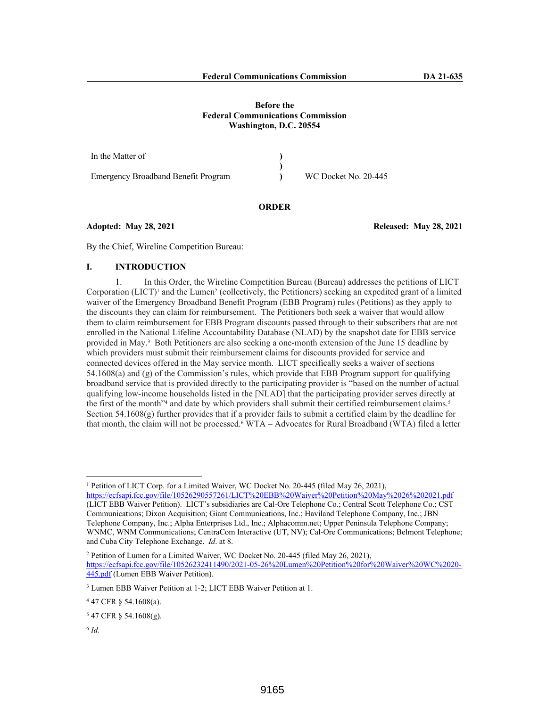| In the Matter of                           |                      |
|--------------------------------------------|----------------------|
|                                            |                      |
| <b>Emergency Broadband Benefit Program</b> | WC Docket No. 20-445 |

## **ORDER**

**Adopted: May 28, 2021 Released: May 28, 2021**

By the Chief, Wireline Competition Bureau:

# **I. INTRODUCTION**

1. In this Order, the Wireline Competition Bureau (Bureau) addresses the petitions of LICT Corporation (LICT)<sup>1</sup> and the Lumen<sup>2</sup> (collectively, the Petitioners) seeking an expedited grant of a limited waiver of the Emergency Broadband Benefit Program (EBB Program) rules (Petitions) as they apply to the discounts they can claim for reimbursement. The Petitioners both seek a waiver that would allow them to claim reimbursement for EBB Program discounts passed through to their subscribers that are not enrolled in the National Lifeline Accountability Database (NLAD) by the snapshot date for EBB service provided in May.<sup>3</sup> Both Petitioners are also seeking a one-month extension of the June 15 deadline by which providers must submit their reimbursement claims for discounts provided for service and connected devices offered in the May service month. LICT specifically seeks a waiver of sections 54.1608(a) and (g) of the Commission's rules, which provide that EBB Program support for qualifying broadband service that is provided directly to the participating provider is "based on the number of actual qualifying low-income households listed in the [NLAD] that the participating provider serves directly at the first of the month"<sup>4</sup> and date by which providers shall submit their certified reimbursement claims.<sup>5</sup> Section 54.1608(g) further provides that if a provider fails to submit a certified claim by the deadline for that month, the claim will not be processed.<sup>6</sup> WTA – Advocates for Rural Broadband (WTA) filed a letter

<sup>1</sup> Petition of LICT Corp. for a Limited Waiver, WC Docket No. 20-445 (filed May 26, 2021),

6 *Id.*

https://ecfsapi.fcc.gov/file/10526290557261/LICT%20EBB%20Waiver%20Petition%20May%2026%202021.pdf (LICT EBB Waiver Petition). LICT's subsidiaries are Cal-Ore Telephone Co.; Central Scott Telephone Co.; CST Communications; Dixon Acquisition; Giant Communications, Inc.; Haviland Telephone Company, Inc.; JBN Telephone Company, Inc.; Alpha Enterprises Ltd., Inc.; Alphacomm.net; Upper Peninsula Telephone Company; WNMC, WNM Communications; CentraCom Interactive (UT, NV); Cal-Ore Communications; Belmont Telephone; and Cuba City Telephone Exchange. *Id*. at 8.

<sup>2</sup> Petition of Lumen for a Limited Waiver, WC Docket No. 20-445 (filed May 26, 2021), https://ecfsapi.fcc.gov/file/10526232411490/2021-05-26%20Lumen%20Petition%20for%20Waiver%20WC%2020- 445.pdf (Lumen EBB Waiver Petition).

<sup>3</sup> Lumen EBB Waiver Petition at 1-2; LICT EBB Waiver Petition at 1.

<sup>4</sup> 47 CFR § 54.1608(a).

<sup>5</sup> 47 CFR § 54.1608(g).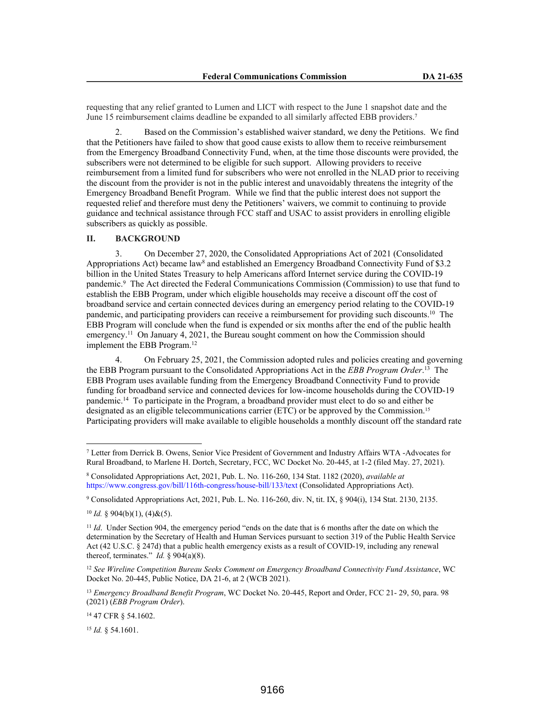requesting that any relief granted to Lumen and LICT with respect to the June 1 snapshot date and the June 15 reimbursement claims deadline be expanded to all similarly affected EBB providers.<sup>7</sup>

2. Based on the Commission's established waiver standard, we deny the Petitions. We find that the Petitioners have failed to show that good cause exists to allow them to receive reimbursement from the Emergency Broadband Connectivity Fund, when, at the time those discounts were provided, the subscribers were not determined to be eligible for such support. Allowing providers to receive reimbursement from a limited fund for subscribers who were not enrolled in the NLAD prior to receiving the discount from the provider is not in the public interest and unavoidably threatens the integrity of the Emergency Broadband Benefit Program. While we find that the public interest does not support the requested relief and therefore must deny the Petitioners' waivers, we commit to continuing to provide guidance and technical assistance through FCC staff and USAC to assist providers in enrolling eligible subscribers as quickly as possible.

## **II. BACKGROUND**

3. On December 27, 2020, the Consolidated Appropriations Act of 2021 (Consolidated Appropriations Act) became law<sup>8</sup> and established an Emergency Broadband Connectivity Fund of \$3.2 billion in the United States Treasury to help Americans afford Internet service during the COVID-19 pandemic.<sup>9</sup> The Act directed the Federal Communications Commission (Commission) to use that fund to establish the EBB Program, under which eligible households may receive a discount off the cost of broadband service and certain connected devices during an emergency period relating to the COVID-19 pandemic, and participating providers can receive a reimbursement for providing such discounts.<sup>10</sup> The EBB Program will conclude when the fund is expended or six months after the end of the public health emergency.<sup>11</sup> On January 4, 2021, the Bureau sought comment on how the Commission should implement the EBB Program.<sup>12</sup>

4. On February 25, 2021, the Commission adopted rules and policies creating and governing the EBB Program pursuant to the Consolidated Appropriations Act in the *EBB Program Order*. <sup>13</sup> The EBB Program uses available funding from the Emergency Broadband Connectivity Fund to provide funding for broadband service and connected devices for low-income households during the COVID-19 pandemic.<sup>14</sup> To participate in the Program, a broadband provider must elect to do so and either be designated as an eligible telecommunications carrier (ETC) or be approved by the Commission.<sup>15</sup> Participating providers will make available to eligible households a monthly discount off the standard rate

9 Consolidated Appropriations Act, 2021, Pub. L. No. 116-260, div. N, tit. IX, § 904(i), 134 Stat. 2130, 2135.

<sup>14</sup> 47 CFR § 54.1602.

<sup>15</sup> *Id.* § 54.1601.

<sup>7</sup> Letter from Derrick B. Owens, Senior Vice President of Government and Industry Affairs WTA -Advocates for Rural Broadband, to Marlene H. Dortch, Secretary, FCC, WC Docket No. 20-445, at 1-2 (filed May. 27, 2021).

<sup>8</sup> Consolidated Appropriations Act, 2021, Pub. L. No. 116-260, 134 Stat. 1182 (2020), *available at*  https://www.congress.gov/bill/116th-congress/house-bill/133/text (Consolidated Appropriations Act).

 $10$  *Id.* § 904(b)(1), (4)&(5).

<sup>&</sup>lt;sup>11</sup> *Id*. Under Section 904, the emergency period "ends on the date that is 6 months after the date on which the determination by the Secretary of Health and Human Services pursuant to section 319 of the Public Health Service Act (42 U.S.C. § 247d) that a public health emergency exists as a result of COVID-19, including any renewal thereof, terminates." *Id.*  $\S$  904(a)(8).

<sup>12</sup> *See Wireline Competition Bureau Seeks Comment on Emergency Broadband Connectivity Fund Assistance*, WC Docket No. 20-445, Public Notice, DA 21-6, at 2 (WCB 2021).

<sup>13</sup> *Emergency Broadband Benefit Program*, WC Docket No. 20-445, Report and Order, FCC 21- 29, 50, para. 98 (2021) (*EBB Program Order*).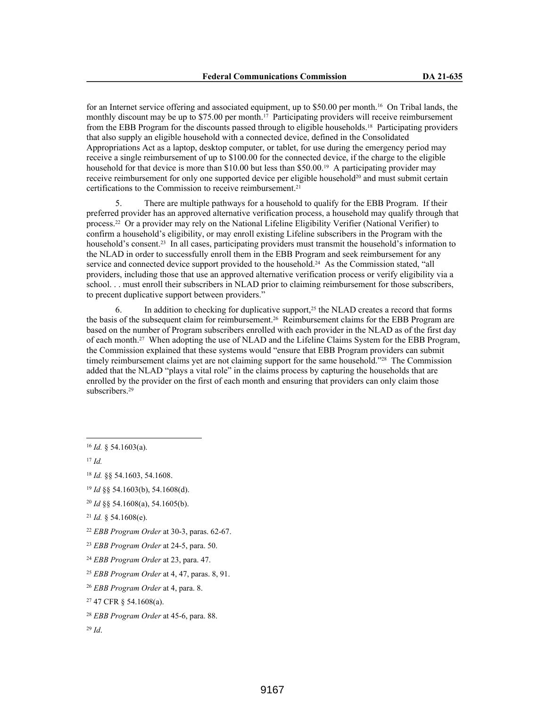for an Internet service offering and associated equipment, up to \$50.00 per month.16 On Tribal lands, the monthly discount may be up to \$75.00 per month.<sup>17</sup> Participating providers will receive reimbursement from the EBB Program for the discounts passed through to eligible households.18 Participating providers that also supply an eligible household with a connected device, defined in the Consolidated Appropriations Act as a laptop, desktop computer, or tablet, for use during the emergency period may receive a single reimbursement of up to \$100.00 for the connected device, if the charge to the eligible household for that device is more than \$10.00 but less than \$50.00.<sup>19</sup> A participating provider may receive reimbursement for only one supported device per eligible household<sup>20</sup> and must submit certain certifications to the Commission to receive reimbursement.<sup>21</sup>

There are multiple pathways for a household to qualify for the EBB Program. If their preferred provider has an approved alternative verification process, a household may qualify through that process.22 Or a provider may rely on the National Lifeline Eligibility Verifier (National Verifier) to confirm a household's eligibility, or may enroll existing Lifeline subscribers in the Program with the household's consent.<sup>23</sup> In all cases, participating providers must transmit the household's information to the NLAD in order to successfully enroll them in the EBB Program and seek reimbursement for any service and connected device support provided to the household.<sup>24</sup> As the Commission stated, "all providers, including those that use an approved alternative verification process or verify eligibility via a school. . . must enroll their subscribers in NLAD prior to claiming reimbursement for those subscribers, to precent duplicative support between providers."

6. In addition to checking for duplicative support,25 the NLAD creates a record that forms the basis of the subsequent claim for reimbursement.26 Reimbursement claims for the EBB Program are based on the number of Program subscribers enrolled with each provider in the NLAD as of the first day of each month.27 When adopting the use of NLAD and the Lifeline Claims System for the EBB Program, the Commission explained that these systems would "ensure that EBB Program providers can submit timely reimbursement claims yet are not claiming support for the same household."28 The Commission added that the NLAD "plays a vital role" in the claims process by capturing the households that are enrolled by the provider on the first of each month and ensuring that providers can only claim those subscribers.<sup>29</sup>

<sup>16</sup> *Id.* § 54.1603(a).

<sup>17</sup> *Id.*

<sup>18</sup> *Id.* §§ 54.1603, 54.1608.

<sup>19</sup> *Id* §§ 54.1603(b), 54.1608(d).

<sup>20</sup> *Id* §§ 54.1608(a), 54.1605(b).

<sup>21</sup> *Id.* § 54.1608(e).

<sup>22</sup> *EBB Program Order* at 30-3, paras. 62-67.

<sup>23</sup> *EBB Program Order* at 24-5, para. 50.

<sup>24</sup> *EBB Program Order* at 23, para. 47.

<sup>25</sup> *EBB Program Order* at 4, 47, paras. 8, 91.

<sup>26</sup> *EBB Program Order* at 4, para. 8.

<sup>27</sup> 47 CFR § 54.1608(a).

<sup>28</sup> *EBB Program Order* at 45-6, para. 88.

<sup>29</sup> *Id*.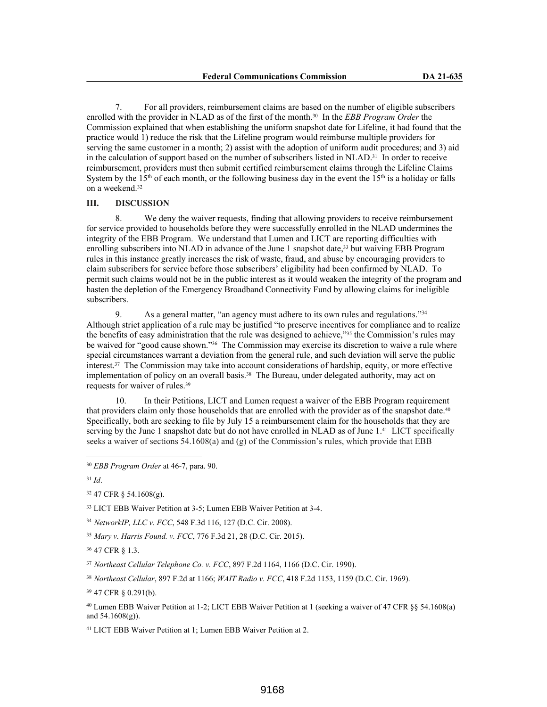7. For all providers, reimbursement claims are based on the number of eligible subscribers enrolled with the provider in NLAD as of the first of the month.30 In the *EBB Program Order* the Commission explained that when establishing the uniform snapshot date for Lifeline, it had found that the practice would 1) reduce the risk that the Lifeline program would reimburse multiple providers for serving the same customer in a month; 2) assist with the adoption of uniform audit procedures; and 3) aid in the calculation of support based on the number of subscribers listed in NLAD.31 In order to receive reimbursement, providers must then submit certified reimbursement claims through the Lifeline Claims System by the 15<sup>th</sup> of each month, or the following business day in the event the 15<sup>th</sup> is a holiday or falls on a weekend.<sup>32</sup>

#### **III. DISCUSSION**

8. We deny the waiver requests, finding that allowing providers to receive reimbursement for service provided to households before they were successfully enrolled in the NLAD undermines the integrity of the EBB Program. We understand that Lumen and LICT are reporting difficulties with enrolling subscribers into NLAD in advance of the June 1 snapshot date,<sup>33</sup> but waiving EBB Program rules in this instance greatly increases the risk of waste, fraud, and abuse by encouraging providers to claim subscribers for service before those subscribers' eligibility had been confirmed by NLAD. To permit such claims would not be in the public interest as it would weaken the integrity of the program and hasten the depletion of the Emergency Broadband Connectivity Fund by allowing claims for ineligible subscribers.

9. As a general matter, "an agency must adhere to its own rules and regulations."<sup>34</sup> Although strict application of a rule may be justified "to preserve incentives for compliance and to realize the benefits of easy administration that the rule was designed to achieve,"35 the Commission's rules may be waived for "good cause shown."36 The Commission may exercise its discretion to waive a rule where special circumstances warrant a deviation from the general rule, and such deviation will serve the public interest.<sup>37</sup> The Commission may take into account considerations of hardship, equity, or more effective implementation of policy on an overall basis.38 The Bureau, under delegated authority, may act on requests for waiver of rules.<sup>39</sup>

10. In their Petitions, LICT and Lumen request a waiver of the EBB Program requirement that providers claim only those households that are enrolled with the provider as of the snapshot date.<sup>40</sup> Specifically, both are seeking to file by July 15 a reimbursement claim for the households that they are serving by the June 1 snapshot date but do not have enrolled in NLAD as of June 1.<sup>41</sup> LICT specifically seeks a waiver of sections 54.1608(a) and (g) of the Commission's rules, which provide that EBB

<sup>31</sup> *Id*.

<sup>36</sup> 47 CFR § 1.3.

<sup>41</sup> LICT EBB Waiver Petition at 1; Lumen EBB Waiver Petition at 2.

<sup>30</sup> *EBB Program Order* at 46-7, para. 90.

<sup>32</sup> 47 CFR § 54.1608(g).

<sup>33</sup> LICT EBB Waiver Petition at 3-5; Lumen EBB Waiver Petition at 3-4.

<sup>34</sup> *NetworkIP, LLC v. FCC*, 548 F.3d 116, 127 (D.C. Cir. 2008).

<sup>35</sup> *Mary v. Harris Found. v. FCC*, 776 F.3d 21, 28 (D.C. Cir. 2015).

<sup>37</sup> *Northeast Cellular Telephone Co. v. FCC*, 897 F.2d 1164, 1166 (D.C. Cir. 1990).

<sup>38</sup> *Northeast Cellular*, 897 F.2d at 1166; *WAIT Radio v. FCC*, 418 F.2d 1153, 1159 (D.C. Cir. 1969).

<sup>39</sup> 47 CFR § 0.291(b).

<sup>40</sup> Lumen EBB Waiver Petition at 1-2; LICT EBB Waiver Petition at 1 (seeking a waiver of 47 CFR §§ 54.1608(a) and  $54.1608(g)$ ).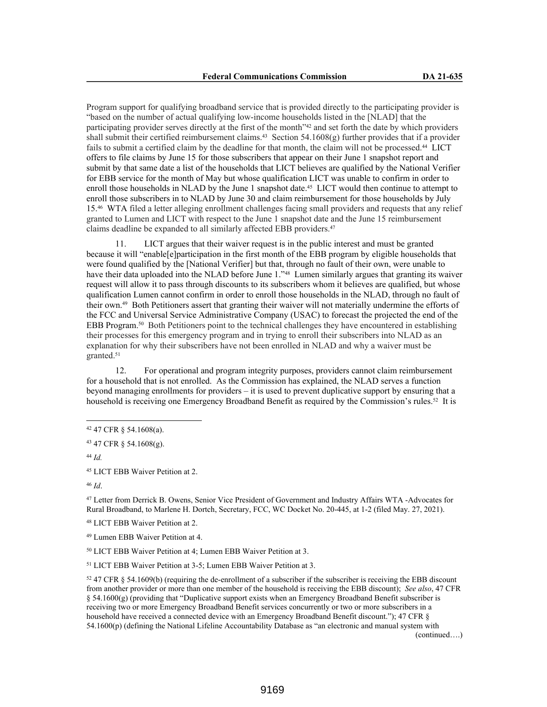Program support for qualifying broadband service that is provided directly to the participating provider is "based on the number of actual qualifying low-income households listed in the [NLAD] that the participating provider serves directly at the first of the month"42 and set forth the date by which providers shall submit their certified reimbursement claims.<sup>43</sup> Section 54.1608(g) further provides that if a provider fails to submit a certified claim by the deadline for that month, the claim will not be processed.<sup>44</sup> LICT offers to file claims by June 15 for those subscribers that appear on their June 1 snapshot report and submit by that same date a list of the households that LICT believes are qualified by the National Verifier for EBB service for the month of May but whose qualification LICT was unable to confirm in order to enroll those households in NLAD by the June 1 snapshot date.<sup>45</sup> LICT would then continue to attempt to enroll those subscribers in to NLAD by June 30 and claim reimbursement for those households by July 15.46 WTA filed a letter alleging enrollment challenges facing small providers and requests that any relief granted to Lumen and LICT with respect to the June 1 snapshot date and the June 15 reimbursement claims deadline be expanded to all similarly affected EBB providers.<sup>47</sup>

11. LICT argues that their waiver request is in the public interest and must be granted because it will "enable[e]participation in the first month of the EBB program by eligible households that were found qualified by the [National Verifier] but that, through no fault of their own, were unable to have their data uploaded into the NLAD before June 1."48 Lumen similarly argues that granting its waiver request will allow it to pass through discounts to its subscribers whom it believes are qualified, but whose qualification Lumen cannot confirm in order to enroll those households in the NLAD, through no fault of their own.49 Both Petitioners assert that granting their waiver will not materially undermine the efforts of the FCC and Universal Service Administrative Company (USAC) to forecast the projected the end of the EBB Program.<sup>50</sup> Both Petitioners point to the technical challenges they have encountered in establishing their processes for this emergency program and in trying to enroll their subscribers into NLAD as an explanation for why their subscribers have not been enrolled in NLAD and why a waiver must be granted.<sup>51</sup>

12. For operational and program integrity purposes, providers cannot claim reimbursement for a household that is not enrolled. As the Commission has explained, the NLAD serves a function beyond managing enrollments for providers – it is used to prevent duplicative support by ensuring that a household is receiving one Emergency Broadband Benefit as required by the Commission's rules.<sup>52</sup> It is

<sup>44</sup> *Id.*

<sup>45</sup> LICT EBB Waiver Petition at 2.

<sup>46</sup> *Id*.

<sup>47</sup> Letter from Derrick B. Owens, Senior Vice President of Government and Industry Affairs WTA -Advocates for Rural Broadband, to Marlene H. Dortch, Secretary, FCC, WC Docket No. 20-445, at 1-2 (filed May. 27, 2021).

<sup>48</sup> LICT EBB Waiver Petition at 2.

<sup>49</sup> Lumen EBB Waiver Petition at 4.

<sup>50</sup> LICT EBB Waiver Petition at 4; Lumen EBB Waiver Petition at 3.

<sup>51</sup> LICT EBB Waiver Petition at 3-5; Lumen EBB Waiver Petition at 3.

<sup>52</sup> 47 CFR § 54.1609(b) (requiring the de-enrollment of a subscriber if the subscriber is receiving the EBB discount from another provider or more than one member of the household is receiving the EBB discount); *See also*, 47 CFR § 54.1600(g) (providing that "Duplicative support exists when an Emergency Broadband Benefit subscriber is receiving two or more Emergency Broadband Benefit services concurrently or two or more subscribers in a household have received a connected device with an Emergency Broadband Benefit discount."); 47 CFR § 54.1600(p) (defining the National Lifeline Accountability Database as "an electronic and manual system with

(continued….)

<sup>42</sup> 47 CFR § 54.1608(a).

<sup>43</sup> 47 CFR § 54.1608(g).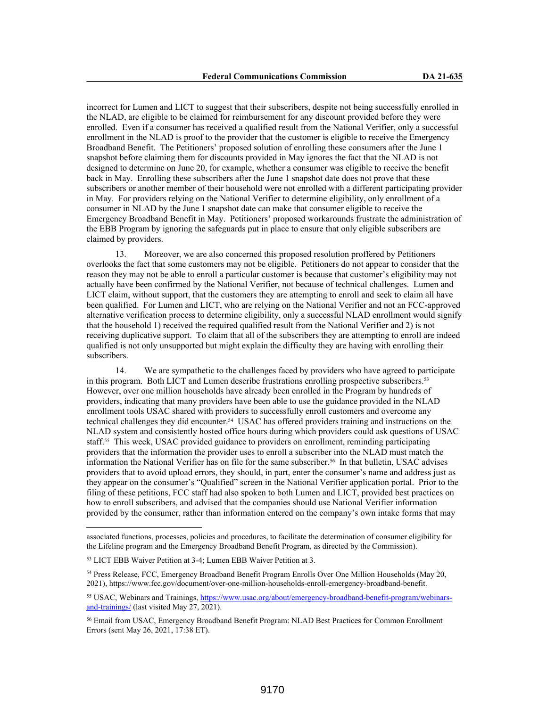incorrect for Lumen and LICT to suggest that their subscribers, despite not being successfully enrolled in the NLAD, are eligible to be claimed for reimbursement for any discount provided before they were enrolled. Even if a consumer has received a qualified result from the National Verifier, only a successful enrollment in the NLAD is proof to the provider that the customer is eligible to receive the Emergency Broadband Benefit. The Petitioners' proposed solution of enrolling these consumers after the June 1 snapshot before claiming them for discounts provided in May ignores the fact that the NLAD is not designed to determine on June 20, for example, whether a consumer was eligible to receive the benefit back in May. Enrolling these subscribers after the June 1 snapshot date does not prove that these subscribers or another member of their household were not enrolled with a different participating provider in May. For providers relying on the National Verifier to determine eligibility, only enrollment of a consumer in NLAD by the June 1 snapshot date can make that consumer eligible to receive the Emergency Broadband Benefit in May. Petitioners' proposed workarounds frustrate the administration of the EBB Program by ignoring the safeguards put in place to ensure that only eligible subscribers are claimed by providers.

13. Moreover, we are also concerned this proposed resolution proffered by Petitioners overlooks the fact that some customers may not be eligible. Petitioners do not appear to consider that the reason they may not be able to enroll a particular customer is because that customer's eligibility may not actually have been confirmed by the National Verifier, not because of technical challenges. Lumen and LICT claim, without support, that the customers they are attempting to enroll and seek to claim all have been qualified. For Lumen and LICT, who are relying on the National Verifier and not an FCC-approved alternative verification process to determine eligibility, only a successful NLAD enrollment would signify that the household 1) received the required qualified result from the National Verifier and 2) is not receiving duplicative support. To claim that all of the subscribers they are attempting to enroll are indeed qualified is not only unsupported but might explain the difficulty they are having with enrolling their subscribers.

14. We are sympathetic to the challenges faced by providers who have agreed to participate in this program. Both LICT and Lumen describe frustrations enrolling prospective subscribers.<sup>53</sup> However, over one million households have already been enrolled in the Program by hundreds of providers, indicating that many providers have been able to use the guidance provided in the NLAD enrollment tools USAC shared with providers to successfully enroll customers and overcome any technical challenges they did encounter.54 USAC has offered providers training and instructions on the NLAD system and consistently hosted office hours during which providers could ask questions of USAC staff.55 This week, USAC provided guidance to providers on enrollment, reminding participating providers that the information the provider uses to enroll a subscriber into the NLAD must match the information the National Verifier has on file for the same subscriber.56 In that bulletin, USAC advises providers that to avoid upload errors, they should, in part, enter the consumer's name and address just as they appear on the consumer's "Qualified" screen in the National Verifier application portal. Prior to the filing of these petitions, FCC staff had also spoken to both Lumen and LICT, provided best practices on how to enroll subscribers, and advised that the companies should use National Verifier information provided by the consumer, rather than information entered on the company's own intake forms that may

associated functions, processes, policies and procedures, to facilitate the determination of consumer eligibility for the Lifeline program and the Emergency Broadband Benefit Program, as directed by the Commission).

<sup>53</sup> LICT EBB Waiver Petition at 3-4; Lumen EBB Waiver Petition at 3.

<sup>54</sup> Press Release, FCC, Emergency Broadband Benefit Program Enrolls Over One Million Households (May 20, 2021), https://www.fcc.gov/document/over-one-million-households-enroll-emergency-broadband-benefit.

<sup>55</sup> USAC, Webinars and Trainings, https://www.usac.org/about/emergency-broadband-benefit-program/webinarsand-trainings/ (last visited May 27, 2021).

<sup>56</sup> Email from USAC, Emergency Broadband Benefit Program: NLAD Best Practices for Common Enrollment Errors (sent May 26, 2021, 17:38 ET).